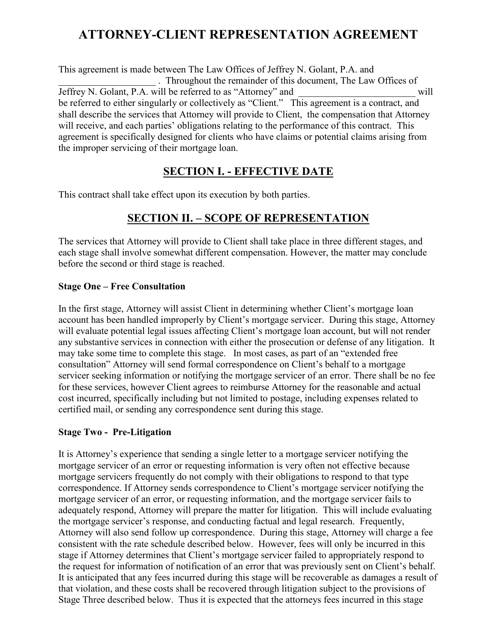# **ATTORNEY-CLIENT REPRESENTATION AGREEMENT**

This agreement is made between The Law Offices of Jeffrey N. Golant, P.A. and \_\_\_\_\_\_\_\_\_\_\_\_\_\_\_\_\_\_\_\_ . Throughout the remainder of this document, The Law Offices of Jeffrey N. Golant, P.A. will be referred to as "Attorney" and \_\_\_\_\_\_\_\_\_\_\_\_\_\_\_\_\_\_\_\_\_\_\_\_ will be referred to either singularly or collectively as "Client." This agreement is a contract, and shall describe the services that Attorney will provide to Client, the compensation that Attorney will receive, and each parties' obligations relating to the performance of this contract. This agreement is specifically designed for clients who have claims or potential claims arising from the improper servicing of their mortgage loan.

### **SECTION I. - EFFECTIVE DATE**

This contract shall take effect upon its execution by both parties.

# **SECTION II. – SCOPE OF REPRESENTATION**

The services that Attorney will provide to Client shall take place in three different stages, and each stage shall involve somewhat different compensation. However, the matter may conclude before the second or third stage is reached.

#### **Stage One – Free Consultation**

In the first stage, Attorney will assist Client in determining whether Client's mortgage loan account has been handled improperly by Client's mortgage servicer. During this stage, Attorney will evaluate potential legal issues affecting Client's mortgage loan account, but will not render any substantive services in connection with either the prosecution or defense of any litigation. It may take some time to complete this stage. In most cases, as part of an "extended free consultation" Attorney will send formal correspondence on Client's behalf to a mortgage servicer seeking information or notifying the mortgage servicer of an error. There shall be no fee for these services, however Client agrees to reimburse Attorney for the reasonable and actual cost incurred, specifically including but not limited to postage, including expenses related to certified mail, or sending any correspondence sent during this stage.

#### **Stage Two - Pre-Litigation**

It is Attorney's experience that sending a single letter to a mortgage servicer notifying the mortgage servicer of an error or requesting information is very often not effective because mortgage servicers frequently do not comply with their obligations to respond to that type correspondence. If Attorney sends correspondence to Client's mortgage servicer notifying the mortgage servicer of an error, or requesting information, and the mortgage servicer fails to adequately respond, Attorney will prepare the matter for litigation. This will include evaluating the mortgage servicer's response, and conducting factual and legal research. Frequently, Attorney will also send follow up correspondence. During this stage, Attorney will charge a fee consistent with the rate schedule described below. However, fees will only be incurred in this stage if Attorney determines that Client's mortgage servicer failed to appropriately respond to the request for information of notification of an error that was previously sent on Client's behalf. It is anticipated that any fees incurred during this stage will be recoverable as damages a result of that violation, and these costs shall be recovered through litigation subject to the provisions of Stage Three described below. Thus it is expected that the attorneys fees incurred in this stage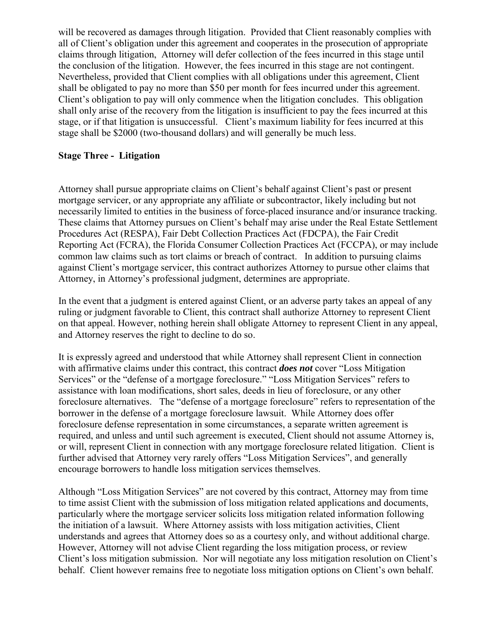will be recovered as damages through litigation. Provided that Client reasonably complies with all of Client's obligation under this agreement and cooperates in the prosecution of appropriate claims through litigation, Attorney will defer collection of the fees incurred in this stage until the conclusion of the litigation. However, the fees incurred in this stage are not contingent. Nevertheless, provided that Client complies with all obligations under this agreement, Client shall be obligated to pay no more than \$50 per month for fees incurred under this agreement. Client's obligation to pay will only commence when the litigation concludes. This obligation shall only arise of the recovery from the litigation is insufficient to pay the fees incurred at this stage, or if that litigation is unsuccessful. Client's maximum liability for fees incurred at this stage shall be \$2000 (two-thousand dollars) and will generally be much less.

#### **Stage Three - Litigation**

Attorney shall pursue appropriate claims on Client's behalf against Client's past or present mortgage servicer, or any appropriate any affiliate or subcontractor, likely including but not necessarily limited to entities in the business of force-placed insurance and/or insurance tracking. These claims that Attorney pursues on Client's behalf may arise under the Real Estate Settlement Procedures Act (RESPA), Fair Debt Collection Practices Act (FDCPA), the Fair Credit Reporting Act (FCRA), the Florida Consumer Collection Practices Act (FCCPA), or may include common law claims such as tort claims or breach of contract. In addition to pursuing claims against Client's mortgage servicer, this contract authorizes Attorney to pursue other claims that Attorney, in Attorney's professional judgment, determines are appropriate.

In the event that a judgment is entered against Client, or an adverse party takes an appeal of any ruling or judgment favorable to Client, this contract shall authorize Attorney to represent Client on that appeal. However, nothing herein shall obligate Attorney to represent Client in any appeal, and Attorney reserves the right to decline to do so.

It is expressly agreed and understood that while Attorney shall represent Client in connection with affirmative claims under this contract, this contract *does not* cover "Loss Mitigation Services" or the "defense of a mortgage foreclosure." "Loss Mitigation Services" refers to assistance with loan modifications, short sales, deeds in lieu of foreclosure, or any other foreclosure alternatives. The "defense of a mortgage foreclosure" refers to representation of the borrower in the defense of a mortgage foreclosure lawsuit. While Attorney does offer foreclosure defense representation in some circumstances, a separate written agreement is required, and unless and until such agreement is executed, Client should not assume Attorney is, or will, represent Client in connection with any mortgage foreclosure related litigation. Client is further advised that Attorney very rarely offers "Loss Mitigation Services", and generally encourage borrowers to handle loss mitigation services themselves.

Although "Loss Mitigation Services" are not covered by this contract, Attorney may from time to time assist Client with the submission of loss mitigation related applications and documents, particularly where the mortgage servicer solicits loss mitigation related information following the initiation of a lawsuit. Where Attorney assists with loss mitigation activities, Client understands and agrees that Attorney does so as a courtesy only, and without additional charge. However, Attorney will not advise Client regarding the loss mitigation process, or review Client's loss mitigation submission. Nor will negotiate any loss mitigation resolution on Client's behalf. Client however remains free to negotiate loss mitigation options on Client's own behalf.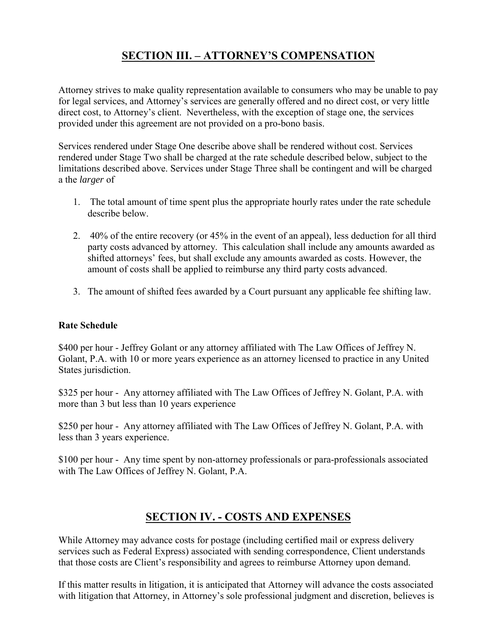# **SECTION III. – ATTORNEY'S COMPENSATION**

Attorney strives to make quality representation available to consumers who may be unable to pay for legal services, and Attorney's services are generally offered and no direct cost, or very little direct cost, to Attorney's client. Nevertheless, with the exception of stage one, the services provided under this agreement are not provided on a pro-bono basis.

Services rendered under Stage One describe above shall be rendered without cost. Services rendered under Stage Two shall be charged at the rate schedule described below, subject to the limitations described above. Services under Stage Three shall be contingent and will be charged a the *larger* of

- 1. The total amount of time spent plus the appropriate hourly rates under the rate schedule describe below.
- 2. 40% of the entire recovery (or 45% in the event of an appeal), less deduction for all third party costs advanced by attorney. This calculation shall include any amounts awarded as shifted attorneys' fees, but shall exclude any amounts awarded as costs. However, the amount of costs shall be applied to reimburse any third party costs advanced.
- 3. The amount of shifted fees awarded by a Court pursuant any applicable fee shifting law.

#### **Rate Schedule**

\$400 per hour - Jeffrey Golant or any attorney affiliated with The Law Offices of Jeffrey N. Golant, P.A. with 10 or more years experience as an attorney licensed to practice in any United States jurisdiction.

\$325 per hour - Any attorney affiliated with The Law Offices of Jeffrey N. Golant, P.A. with more than 3 but less than 10 years experience

\$250 per hour - Any attorney affiliated with The Law Offices of Jeffrey N. Golant, P.A. with less than 3 years experience.

\$100 per hour - Any time spent by non-attorney professionals or para-professionals associated with The Law Offices of Jeffrey N. Golant, P.A.

# **SECTION IV. - COSTS AND EXPENSES**

While Attorney may advance costs for postage (including certified mail or express delivery services such as Federal Express) associated with sending correspondence, Client understands that those costs are Client's responsibility and agrees to reimburse Attorney upon demand.

If this matter results in litigation, it is anticipated that Attorney will advance the costs associated with litigation that Attorney, in Attorney's sole professional judgment and discretion, believes is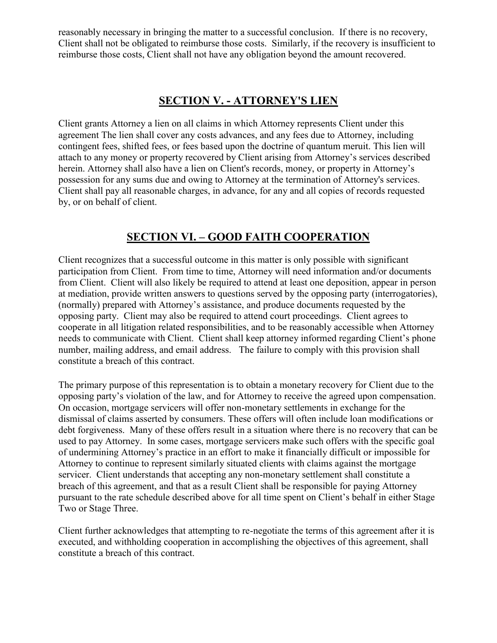reasonably necessary in bringing the matter to a successful conclusion. If there is no recovery, Client shall not be obligated to reimburse those costs. Similarly, if the recovery is insufficient to reimburse those costs, Client shall not have any obligation beyond the amount recovered.

### **SECTION V. - ATTORNEY'S LIEN**

Client grants Attorney a lien on all claims in which Attorney represents Client under this agreement The lien shall cover any costs advances, and any fees due to Attorney, including contingent fees, shifted fees, or fees based upon the doctrine of quantum meruit. This lien will attach to any money or property recovered by Client arising from Attorney's services described herein. Attorney shall also have a lien on Client's records, money, or property in Attorney's possession for any sums due and owing to Attorney at the termination of Attorney's services. Client shall pay all reasonable charges, in advance, for any and all copies of records requested by, or on behalf of client.

### **SECTION VI. – GOOD FAITH COOPERATION**

Client recognizes that a successful outcome in this matter is only possible with significant participation from Client. From time to time, Attorney will need information and/or documents from Client. Client will also likely be required to attend at least one deposition, appear in person at mediation, provide written answers to questions served by the opposing party (interrogatories), (normally) prepared with Attorney's assistance, and produce documents requested by the opposing party. Client may also be required to attend court proceedings. Client agrees to cooperate in all litigation related responsibilities, and to be reasonably accessible when Attorney needs to communicate with Client. Client shall keep attorney informed regarding Client's phone number, mailing address, and email address. The failure to comply with this provision shall constitute a breach of this contract.

The primary purpose of this representation is to obtain a monetary recovery for Client due to the opposing party's violation of the law, and for Attorney to receive the agreed upon compensation. On occasion, mortgage servicers will offer non-monetary settlements in exchange for the dismissal of claims asserted by consumers. These offers will often include loan modifications or debt forgiveness. Many of these offers result in a situation where there is no recovery that can be used to pay Attorney. In some cases, mortgage servicers make such offers with the specific goal of undermining Attorney's practice in an effort to make it financially difficult or impossible for Attorney to continue to represent similarly situated clients with claims against the mortgage servicer. Client understands that accepting any non-monetary settlement shall constitute a breach of this agreement, and that as a result Client shall be responsible for paying Attorney pursuant to the rate schedule described above for all time spent on Client's behalf in either Stage Two or Stage Three.

Client further acknowledges that attempting to re-negotiate the terms of this agreement after it is executed, and withholding cooperation in accomplishing the objectives of this agreement, shall constitute a breach of this contract.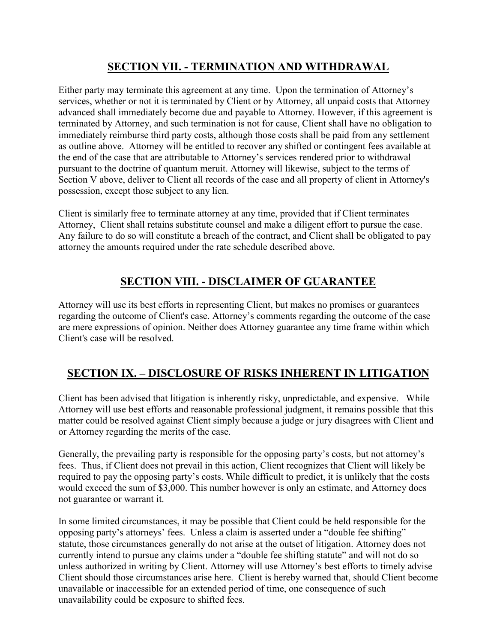# **SECTION VII. - TERMINATION AND WITHDRAWAL**

Either party may terminate this agreement at any time. Upon the termination of Attorney's services, whether or not it is terminated by Client or by Attorney, all unpaid costs that Attorney advanced shall immediately become due and payable to Attorney. However, if this agreement is terminated by Attorney, and such termination is not for cause, Client shall have no obligation to immediately reimburse third party costs, although those costs shall be paid from any settlement as outline above. Attorney will be entitled to recover any shifted or contingent fees available at the end of the case that are attributable to Attorney's services rendered prior to withdrawal pursuant to the doctrine of quantum meruit. Attorney will likewise, subject to the terms of Section V above, deliver to Client all records of the case and all property of client in Attorney's possession, except those subject to any lien.

Client is similarly free to terminate attorney at any time, provided that if Client terminates Attorney, Client shall retains substitute counsel and make a diligent effort to pursue the case. Any failure to do so will constitute a breach of the contract, and Client shall be obligated to pay attorney the amounts required under the rate schedule described above.

### **SECTION VIII. - DISCLAIMER OF GUARANTEE**

Attorney will use its best efforts in representing Client, but makes no promises or guarantees regarding the outcome of Client's case. Attorney's comments regarding the outcome of the case are mere expressions of opinion. Neither does Attorney guarantee any time frame within which Client's case will be resolved.

#### **SECTION IX. – DISCLOSURE OF RISKS INHERENT IN LITIGATION**

Client has been advised that litigation is inherently risky, unpredictable, and expensive. While Attorney will use best efforts and reasonable professional judgment, it remains possible that this matter could be resolved against Client simply because a judge or jury disagrees with Client and or Attorney regarding the merits of the case.

Generally, the prevailing party is responsible for the opposing party's costs, but not attorney's fees. Thus, if Client does not prevail in this action, Client recognizes that Client will likely be required to pay the opposing party's costs. While difficult to predict, it is unlikely that the costs would exceed the sum of \$3,000. This number however is only an estimate, and Attorney does not guarantee or warrant it.

In some limited circumstances, it may be possible that Client could be held responsible for the opposing party's attorneys' fees. Unless a claim is asserted under a "double fee shifting" statute, those circumstances generally do not arise at the outset of litigation. Attorney does not currently intend to pursue any claims under a "double fee shifting statute" and will not do so unless authorized in writing by Client. Attorney will use Attorney's best efforts to timely advise Client should those circumstances arise here. Client is hereby warned that, should Client become unavailable or inaccessible for an extended period of time, one consequence of such unavailability could be exposure to shifted fees.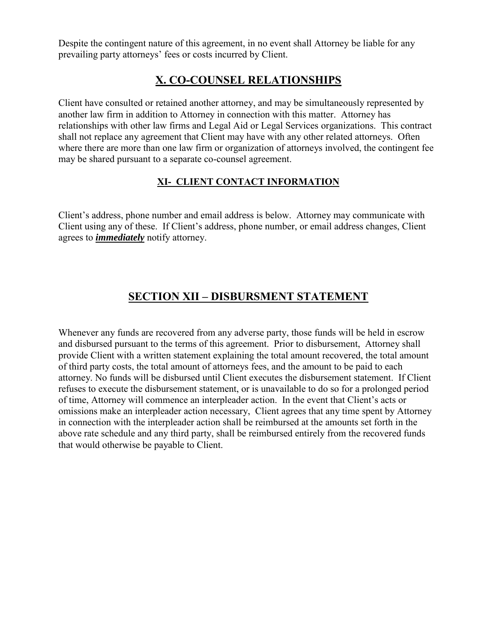Despite the contingent nature of this agreement, in no event shall Attorney be liable for any prevailing party attorneys' fees or costs incurred by Client.

### **X. CO-COUNSEL RELATIONSHIPS**

Client have consulted or retained another attorney, and may be simultaneously represented by another law firm in addition to Attorney in connection with this matter. Attorney has relationships with other law firms and Legal Aid or Legal Services organizations. This contract shall not replace any agreement that Client may have with any other related attorneys. Often where there are more than one law firm or organization of attorneys involved, the contingent fee may be shared pursuant to a separate co-counsel agreement.

#### **XI- CLIENT CONTACT INFORMATION**

Client's address, phone number and email address is below. Attorney may communicate with Client using any of these. If Client's address, phone number, or email address changes, Client agrees to *immediately* notify attorney.

# **SECTION XII – DISBURSMENT STATEMENT**

Whenever any funds are recovered from any adverse party, those funds will be held in escrow and disbursed pursuant to the terms of this agreement. Prior to disbursement, Attorney shall provide Client with a written statement explaining the total amount recovered, the total amount of third party costs, the total amount of attorneys fees, and the amount to be paid to each attorney. No funds will be disbursed until Client executes the disbursement statement. If Client refuses to execute the disbursement statement, or is unavailable to do so for a prolonged period of time, Attorney will commence an interpleader action. In the event that Client's acts or omissions make an interpleader action necessary, Client agrees that any time spent by Attorney in connection with the interpleader action shall be reimbursed at the amounts set forth in the above rate schedule and any third party, shall be reimbursed entirely from the recovered funds that would otherwise be payable to Client.